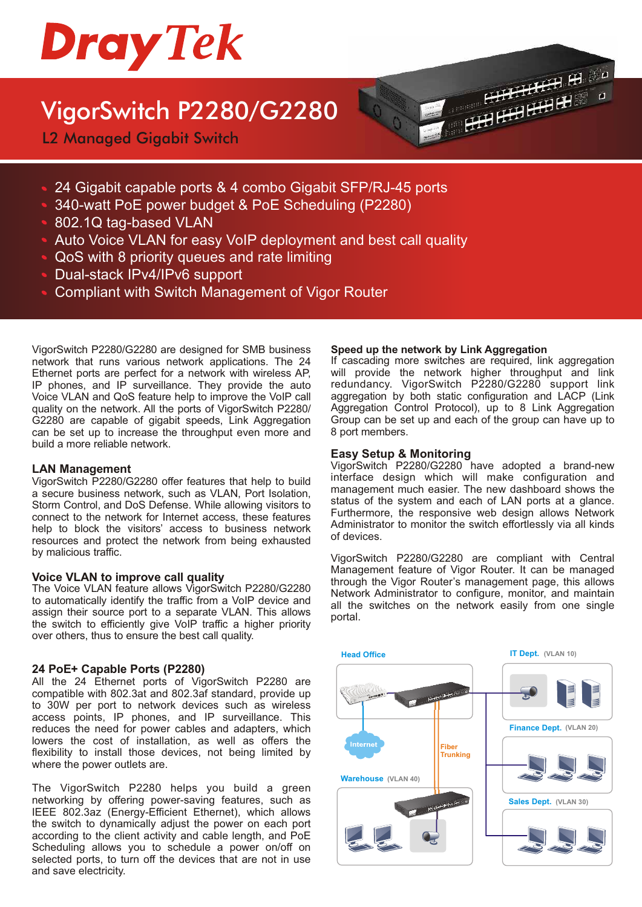

# VigorSwitch P2280/G2280

L2 Managed Gigabit Switch



- 340-watt PoE power budget & PoE Scheduling (P2280)
- 802.1Q tag-based VLAN
- Auto Voice VLAN for easy VoIP deployment and best call quality
- QoS with 8 priority queues and rate limiting
- Dual-stack IPv4/IPv6 support
- Compliant with Switch Management of Vigor Router

VigorSwitch P2280/G2280 are designed for SMB business network that runs various network applications. The 24 Ethernet ports are perfect for a network with wireless AP, IP phones, and IP surveillance. They provide the auto Voice VLAN and QoS feature help to improve the VoIP call quality on the network. All the ports of VigorSwitch P2280/ G2280 are capable of gigabit speeds, Link Aggregation can be set up to increase the throughput even more and build a more reliable network.

#### **LAN Management**

VigorSwitch P2280/G2280 offer features that help to build a secure business network, such as VLAN, Port Isolation, Storm Control, and DoS Defense. While allowing visitors to connect to the network for Internet access, these features help to block the visitors' access to business network resources and protect the network from being exhausted by malicious traffic.

#### **Voice VLAN to improve call quality**

The Voice VLAN feature allows VigorSwitch P2280/G2280 to automatically identify the traffic from a VoIP device and assign their source port to a separate VLAN. This allows the switch to efficiently give VoIP traffic a higher priority over others, thus to ensure the best call quality.

#### **24 PoE+ Capable Ports (P2280)**

All the 24 Ethernet ports of VigorSwitch P2280 are compatible with 802.3at and 802.3af standard, provide up to 30W per port to network devices such as wireless access points, IP phones, and IP surveillance. This reduces the need for power cables and adapters, which lowers the cost of installation, as well as offers the flexibility to install those devices, not being limited by where the power outlets are.

The VigorSwitch P2280 helps you build a green networking by offering power-saving features, such as IEEE 802.3az (Energy-Efficient Ethernet), which allows the switch to dynamically adjust the power on each port according to the client activity and cable length, and PoE Scheduling allows you to schedule a power on/off on selected ports, to turn off the devices that are not in use and save electricity.

#### **Speed up the network by Link Aggregation**

If cascading more switches are required, link aggregation will provide the network higher throughput and link redundancy. VigorSwitch P2280/G2280 support link aggregation by both static configuration and LACP (Link Aggregation Control Protocol), up to 8 Link Aggregation Group can be set up and each of the group can have up to 8 port members.

 $\begin{array}{c} \begin{array}{c} \text{HHH} \\ \text{HHH} \end{array} \end{array} \begin{array}{c} \begin{array}{c} \text{HHH} \\ \text{HHH} \end{array} \end{array}$ 

#### **Easy Setup & Monitoring**

VigorSwitch P2280/G2280 have adopted a brand-new interface design which will make configuration and management much easier. The new dashboard shows the status of the system and each of LAN ports at a glance. Furthermore, the responsive web design allows Network Administrator to monitor the switch effortlessly via all kinds of devices.

VigorSwitch P2280/G2280 are compliant with Central Management feature of Vigor Router. It can be managed through the Vigor Router's management page, this allows Network Administrator to configure, monitor, and maintain all the switches on the network easily from one single portal.